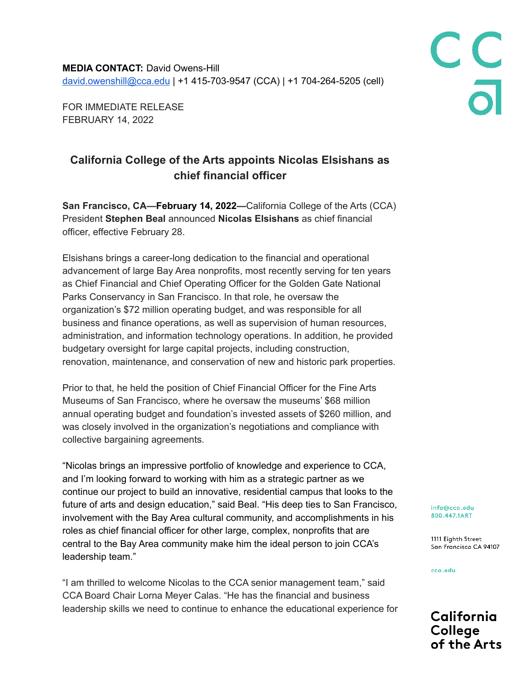**MEDIA CONTACT:** David Owens-Hill [david.owenshill@cca.edu](mailto:david.owenshill@cca.edu) | +1 415-703-9547 (CCA) | +1 704-264-5205 (cell)

FOR IMMEDIATE RELEASE FEBRUARY 14, 2022

## **California College of the Arts appoints Nicolas Elsishans as chief financial officer**

**San Francisco, CA—February 14, 2022—**California College of the Arts (CCA) President **Stephen Beal** announced **Nicolas Elsishans** as chief financial officer, effective February 28.

Elsishans brings a career-long dedication to the financial and operational advancement of large Bay Area nonprofits, most recently serving for ten years as Chief Financial and Chief Operating Officer for the Golden Gate National Parks Conservancy in San Francisco. In that role, he oversaw the organization's \$72 million operating budget, and was responsible for all business and finance operations, as well as supervision of human resources, administration, and information technology operations. In addition, he provided budgetary oversight for large capital projects, including construction, renovation, maintenance, and conservation of new and historic park properties.

Prior to that, he held the position of Chief Financial Officer for the Fine Arts Museums of San Francisco, where he oversaw the museums' \$68 million annual operating budget and foundation's invested assets of \$260 million, and was closely involved in the organization's negotiations and compliance with collective bargaining agreements.

"Nicolas brings an impressive portfolio of knowledge and experience to CCA, and I'm looking forward to working with him as a strategic partner as we continue our project to build an innovative, residential campus that looks to the future of arts and design education," said Beal. "His deep ties to San Francisco, involvement with the Bay Area cultural community, and accomplishments in his roles as chief financial officer for other large, complex, nonprofits that are central to the Bay Area community make him the ideal person to join CCA's leadership team."

"I am thrilled to welcome Nicolas to the CCA senior management team," said CCA Board Chair Lorna Meyer Calas. "He has the financial and business leadership skills we need to continue to enhance the educational experience for info@cca.edu 800.447.1ART

1111 Eighth Street San Francisco CA 94107

C<br>C<br>a<br>a

cca.edu

California College of the Arts